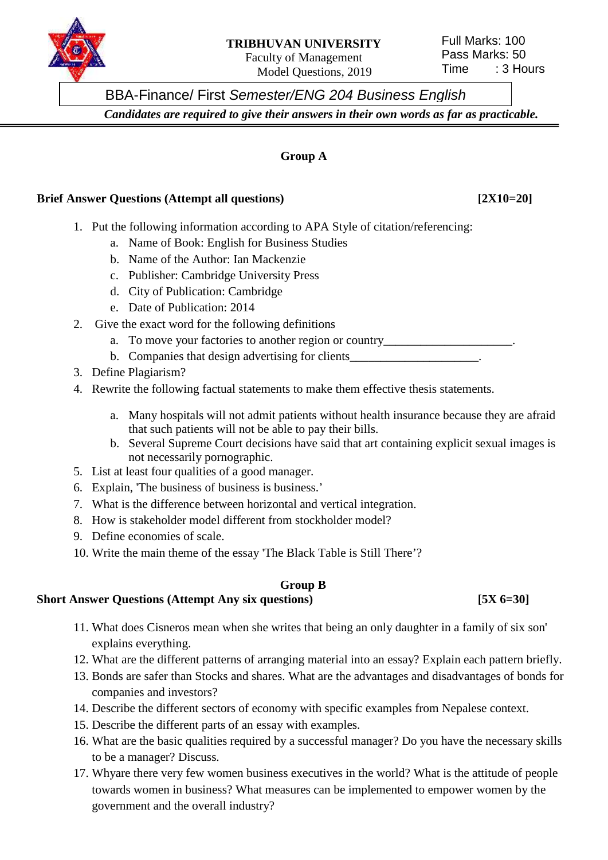**TRIBHUVAN UNIVERSITY**

Faculty of Management Model Questions, 2019 Full Marks: 100 Pass Marks: 50 Time : 3 Hours

BBA-Finance/ First *Semester/ENG 204 Business English*

*Candidates are required to give their answers in their own words as far as practicable.*

# **Group A**

# **Brief Answer Questions (Attempt all questions) [2X10=20]**

- 1. Put the following information according to APA Style of citation/referencing:
	- a. Name of Book: English for Business Studies
	- b. Name of the Author: Ian Mackenzie
	- c. Publisher: Cambridge University Press
	- d. City of Publication: Cambridge
	- e. Date of Publication: 2014
- 2. Give the exact word for the following definitions
	- a. To move your factories to another region or country
	- b. Companies that design advertising for clients
- 3. Define Plagiarism?
- 4. Rewrite the following factual statements to make them effective thesis statements.
	- a. Many hospitals will not admit patients without health insurance because they are afraid that such patients will not be able to pay their bills.
	- b. Several Supreme Court decisions have said that art containing explicit sexual images is not necessarily pornographic.
- 5. List at least four qualities of a good manager.
- 6. Explain, 'The business of business is business.'
- 7. What is the difference between horizontal and vertical integration.
- 8. How is stakeholder model different from stockholder model?
- 9. Define economies of scale.
- 10. Write the main theme of the essay 'The Black Table is Still There'?

# **Group B**

# **Short Answer Questions (Attempt Any six questions) [5X 6=30]**

- 11. What does Cisneros mean when she writes that being an only daughter in a family of six son' explains everything.
- 12. What are the different patterns of arranging material into an essay? Explain each pattern briefly.
- 13. Bonds are safer than Stocks and shares. What are the advantages and disadvantages of bonds for companies and investors?
- 14. Describe the different sectors of economy with specific examples from Nepalese context.
- 15. Describe the different parts of an essay with examples.
- 16. What are the basic qualities required by a successful manager? Do you have the necessary skills to be a manager? Discuss.
- 17. Whyare there very few women business executives in the world? What is the attitude of people towards women in business? What measures can be implemented to empower women by the government and the overall industry?

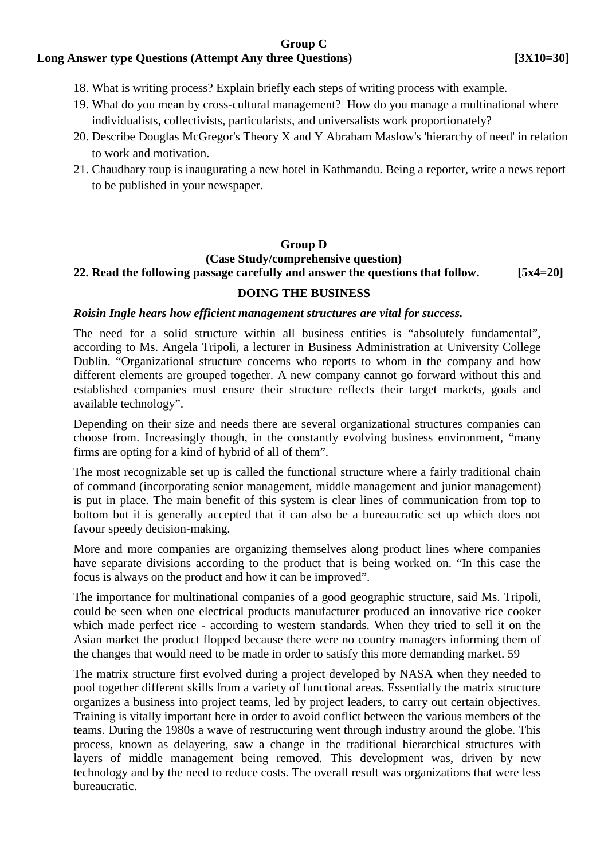# **Group C Long Answer type Questions (Attempt Any three Questions) [3X10=30]**

- 18. What is writing process? Explain briefly each steps of writing process with example.
- 19. What do you mean by cross-cultural management? How do you manage a multinational where individualists, collectivists, particularists, and universalists work proportionately?
- 20. Describe Douglas McGregor's Theory X and Y Abraham Maslow's 'hierarchy of need' in relation to work and motivation.
- 21. Chaudhary roup is inaugurating a new hotel in Kathmandu. Being a reporter, write a news report to be published in your newspaper.

### **Group D**

**(Case Study/comprehensive question) 22. Read the following passage carefully and answer the questions that follow. [5x4=20]**

#### **DOING THE BUSINESS**

#### *Roisin Ingle hears how efficient management structures are vital for success.*

The need for a solid structure within all business entities is "absolutely fundamental", according to Ms. Angela Tripoli, a lecturer in Business Administration at University College Dublin. "Organizational structure concerns who reports to whom in the company and how different elements are grouped together. A new company cannot go forward without this and established companies must ensure their structure reflects their target markets, goals and available technology".

Depending on their size and needs there are several organizational structures companies can choose from. Increasingly though, in the constantly evolving business environment, "many firms are opting for a kind of hybrid of all of them".

The most recognizable set up is called the functional structure where a fairly traditional chain of command (incorporating senior management, middle management and junior management) is put in place. The main benefit of this system is clear lines of communication from top to bottom but it is generally accepted that it can also be a bureaucratic set up which does not favour speedy decision-making.

More and more companies are organizing themselves along product lines where companies have separate divisions according to the product that is being worked on. "In this case the focus is always on the product and how it can be improved".

The importance for multinational companies of a good geographic structure, said Ms. Tripoli, could be seen when one electrical products manufacturer produced an innovative rice cooker which made perfect rice - according to western standards. When they tried to sell it on the Asian market the product flopped because there were no country managers informing them of the changes that would need to be made in order to satisfy this more demanding market. 59

The matrix structure first evolved during a project developed by NASA when they needed to pool together different skills from a variety of functional areas. Essentially the matrix structure organizes a business into project teams, led by project leaders, to carry out certain objectives. Training is vitally important here in order to avoid conflict between the various members of the teams. During the 1980s a wave of restructuring went through industry around the globe. This process, known as delayering, saw a change in the traditional hierarchical structures with layers of middle management being removed. This development was, driven by new technology and by the need to reduce costs. The overall result was organizations that were less bureaucratic.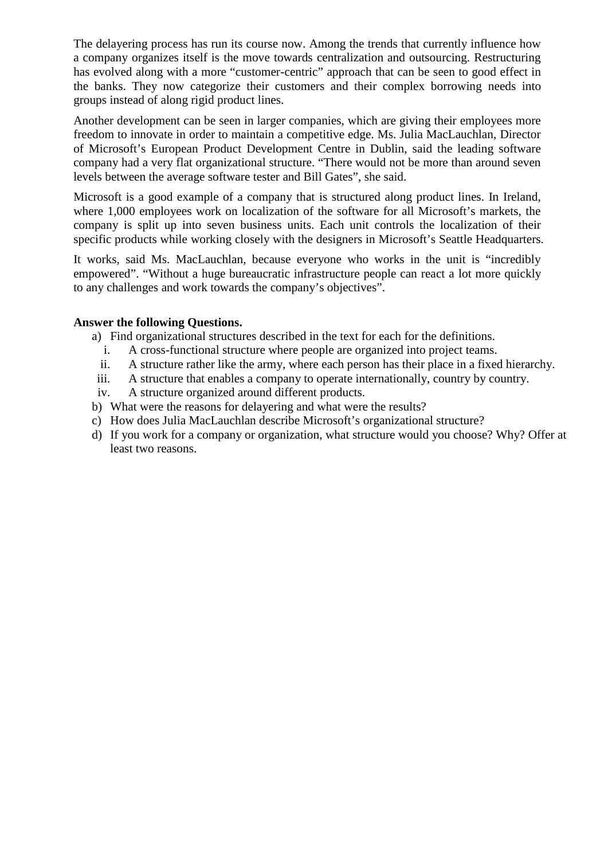The delayering process has run its course now. Among the trends that currently influence how a company organizes itself is the move towards centralization and outsourcing. Restructuring has evolved along with a more "customer-centric" approach that can be seen to good effect in the banks. They now categorize their customers and their complex borrowing needs into groups instead of along rigid product lines.

Another development can be seen in larger companies, which are giving their employees more freedom to innovate in order to maintain a competitive edge. Ms. Julia MacLauchlan, Director of Microsoft's European Product Development Centre in Dublin, said the leading software company had a very flat organizational structure. "There would not be more than around seven levels between the average software tester and Bill Gates", she said.

Microsoft is a good example of a company that is structured along product lines. In Ireland, where 1,000 employees work on localization of the software for all Microsoft's markets, the company is split up into seven business units. Each unit controls the localization of their specific products while working closely with the designers in Microsoft's Seattle Headquarters.

It works, said Ms. MacLauchlan, because everyone who works in the unit is "incredibly empowered". "Without a huge bureaucratic infrastructure people can react a lot more quickly to any challenges and work towards the company's objectives".

## **Answer the following Questions.**

- a) Find organizational structures described in the text for each for the definitions.
	- i. A cross-functional structure where people are organized into project teams.
	- ii. A structure rather like the army, where each person has their place in a fixed hierarchy.
- iii. A structure that enables a company to operate internationally, country by country.
- iv. A structure organized around different products.
- b) What were the reasons for delayering and what were the results?
- c) How does Julia MacLauchlan describe Microsoft's organizational structure?
- d) If you work for a company or organization, what structure would you choose? Why? Offer at least two reasons.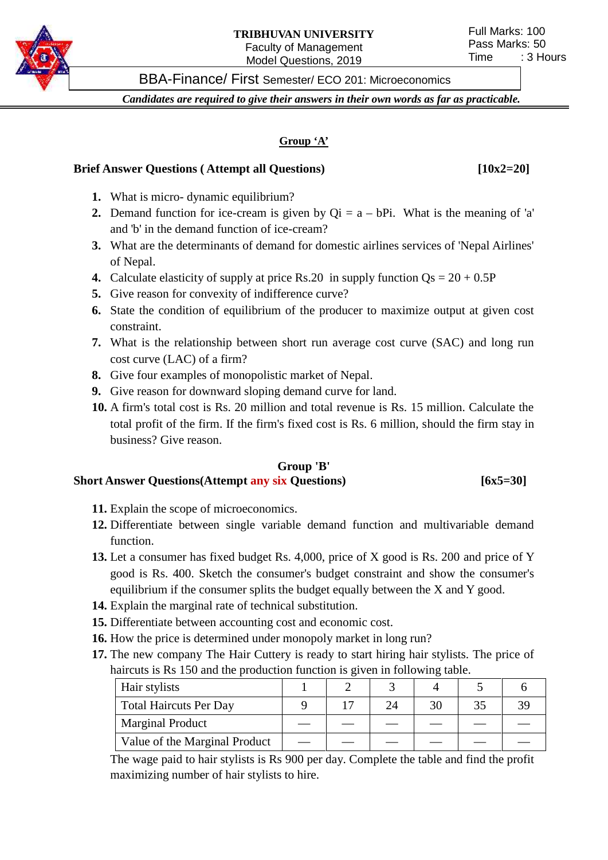

BBA-Finance/ First Semester/ ECO 201: Microeconomics

*Candidates are required to give their answers in their own words as far as practicable.*

# **Group 'A'**

# **Brief Answer Questions ( Attempt all Questions) [10x2=20]**

- **1.** What is micro- dynamic equilibrium?
- **2.** Demand function for ice-cream is given by  $Qi = a bPi$ . What is the meaning of 'a' and 'b' in the demand function of ice-cream?
- **3.** What are the determinants of demand for domestic airlines services of 'Nepal Airlines' of Nepal.
- **4.** Calculate elasticity of supply at price Rs.20 in supply function  $Q_s = 20 + 0.5P$
- **5.** Give reason for convexity of indifference curve?
- **6.** State the condition of equilibrium of the producer to maximize output at given cost constraint.
- **7.** What is the relationship between short run average cost curve (SAC) and long run cost curve (LAC) of a firm?
- **8.** Give four examples of monopolistic market of Nepal.
- **9.** Give reason for downward sloping demand curve for land.
- **10.** A firm's total cost is Rs. 20 million and total revenue is Rs. 15 million. Calculate the total profit of the firm. If the firm's fixed cost is Rs. 6 million, should the firm stay in business? Give reason.

# **Group 'B' Short Answer Questions(Attempt any six Questions) [6x5=30]**

- **11.** Explain the scope of microeconomics.
- **12.** Differentiate between single variable demand function and multivariable demand function.
- **13.** Let a consumer has fixed budget Rs. 4,000, price of X good is Rs. 200 and price of Y good is Rs. 400. Sketch the consumer's budget constraint and show the consumer's equilibrium if the consumer splits the budget equally between the X and Y good.
- **14.** Explain the marginal rate of technical substitution.
- **15.** Differentiate between accounting cost and economic cost.
- **16.** How the price is determined under monopoly market in long run?
- **17.** The new company The Hair Cuttery is ready to start hiring hair stylists. The price of haircuts is Rs 150 and the production function is given in following table.

| Hair stylists                 |  |    |    |    |    |
|-------------------------------|--|----|----|----|----|
| <b>Total Haircuts Per Day</b> |  | 24 | 30 | 35 | 39 |
| <b>Marginal Product</b>       |  |    |    |    |    |
| Value of the Marginal Product |  |    |    |    |    |

The wage paid to hair stylists is Rs 900 per day. Complete the table and find the profit maximizing number of hair stylists to hire.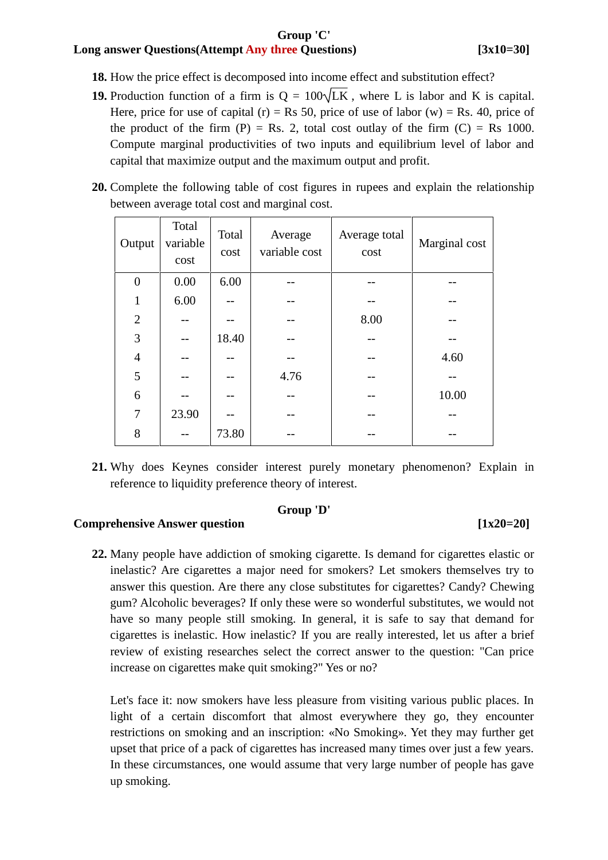# **Group 'C' Long answer Questions(Attempt Any three Questions) [3x10=30]**

- **18.** How the price effect is decomposed into income effect and substitution effect?
- **19.** Production function of a firm is  $Q = 100\sqrt{LK}$ , where L is labor and K is capital. Here, price for use of capital (r) = Rs 50, price of use of labor (w) = Rs. 40, price of the product of the firm  $(P) = \text{Rs. } 2$ , total cost outlay of the firm  $(C) = \text{Rs } 1000$ . Compute marginal productivities of two inputs and equilibrium level of labor and capital that maximize output and the maximum output and profit.
- **20.** Complete the following table of cost figures in rupees and explain the relationship between average total cost and marginal cost.

| Output           | Total<br>variable<br>cost | Total<br>cost | Average<br>variable cost | Average total<br>cost | Marginal cost |  |
|------------------|---------------------------|---------------|--------------------------|-----------------------|---------------|--|
| $\boldsymbol{0}$ | 0.00                      | 6.00          |                          |                       |               |  |
| 1                | 6.00                      |               |                          |                       |               |  |
| $\overline{2}$   |                           |               |                          | 8.00                  |               |  |
| 3                |                           | 18.40         |                          |                       |               |  |
| $\overline{4}$   |                           |               |                          |                       | 4.60          |  |
| 5                |                           |               | 4.76                     |                       |               |  |
| 6                |                           |               |                          |                       | 10.00         |  |
| $\overline{7}$   | 23.90                     |               |                          |                       |               |  |
| 8                |                           | 73.80         |                          |                       |               |  |

**21.** Why does Keynes consider interest purely monetary phenomenon? Explain in reference to liquidity preference theory of interest.

## **Group 'D'**

## **Comprehensive Answer question [1x20=20]**

**22.** Many people have addiction of smoking cigarette. Is demand for cigarettes elastic or inelastic? Are cigarettes a major need for smokers? Let smokers themselves try to answer this question. Are there any close substitutes for cigarettes? Candy? Chewing gum? Alcoholic beverages? If only these were so wonderful substitutes, we would not have so many people still smoking. In general, it is safe to say that demand for cigarettes is inelastic. How inelastic? If you are really interested, let us after a brief review of existing researches select the correct answer to the question: "Can price increase on cigarettes make quit smoking?" Yes or no?

Let's face it: now smokers have less pleasure from visiting various public places. In light of a certain discomfort that almost everywhere they go, they encounter restrictions on smoking and an inscription: «No Smoking». Yet they may further get upset that price of a pack of cigarettes has increased many times over just a few years. In these circumstances, one would assume that very large number of people has gave up smoking.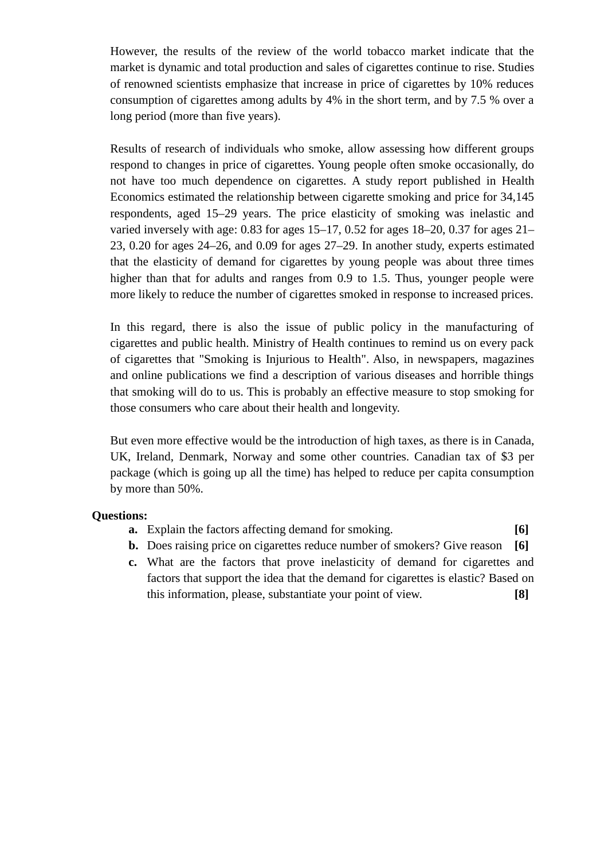However, the results of the review of the world tobacco market indicate that the market is dynamic and total production and sales of cigarettes continue to rise. Studies of renowned scientists emphasize that increase in price of cigarettes by 10% reduces consumption of cigarettes among adults by 4% in the short term, and by 7.5 % over a long period (more than five years).

Results of research of individuals who smoke, allow assessing how different groups respond to changes in price of cigarettes. Young people often smoke occasionally, do not have too much dependence on cigarettes. A study report published in Health Economics estimated the relationship between cigarette smoking and price for 34,145 respondents, aged 15–29 years. The price elasticity of smoking was inelastic and varied inversely with age: 0.83 for ages  $15-17$ , 0.52 for ages  $18-20$ , 0.37 for ages  $21-$ 23, 0.20 for ages 24–26, and 0.09 for ages 27–29. In another study, experts estimated that the elasticity of demand for cigarettes by young people was about three times higher than that for adults and ranges from 0.9 to 1.5. Thus, younger people were more likely to reduce the number of cigarettes smoked in response to increased prices.

In this regard, there is also the issue of public policy in the manufacturing of cigarettes and public health. Ministry of Health continues to remind us on every pack of cigarettes that "Smoking is Injurious to Health". Also, in newspapers, magazines and online publications we find a description of various diseases and horrible things that smoking will do to us. This is probably an effective measure to stop smoking for those consumers who care about their health and longevity.

But even more effective would be the introduction of high taxes, as there is in Canada, UK, Ireland, Denmark, Norway and some other countries. Canadian tax of \$3 per package (which is going up all the time) has helped to reduce per capita consumption by more than 50%.

### **Questions:**

- **a.** Explain the factors affecting demand for smoking. **[6]**
- **b.** Does raising price on cigarettes reduce number of smokers? Give reason **[6]**
- **c.** What are the factors that prove inelasticity of demand for cigarettes and factors that support the idea that the demand for cigarettes is elastic? Based on this information, please, substantiate your point of view. **[8]**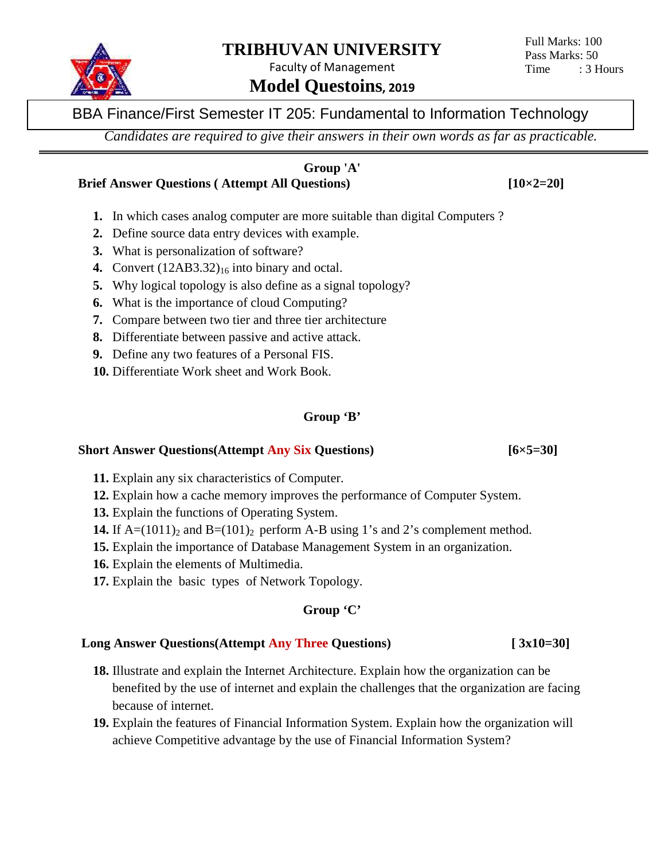

# **TRIBHUVAN UNIVERSITY**

# Faculty of Management **Model Questoins, 2019**

BBA Finance/First Semester IT 205: Fundamental to Information Technology

*Candidates are required to give their answers in their own words as far as practicable.*

#### **Group 'A' Brief Answer Questions ( Attempt All Questions) [10×2=20]**

- **1.** In which cases analog computer are more suitable than digital Computers ?
- **2.** Define source data entry devices with example.
- **3.** What is personalization of software?
- **4.** Convert  $(12AB3.32)_{16}$  into binary and octal.
- **5.** Why logical topology is also define as a signal topology?
- **6.** What is the importance of cloud Computing?
- **7.** Compare between two tier and three tier architecture
- **8.** Differentiate between passive and active attack.
- **9.** Define any two features of a Personal FIS.
- **10.** Differentiate Work sheet and Work Book.

# **Group 'B'**

### **Short Answer Questions(Attempt Any Six Questions) [6×5=30]**

- **11.** Explain any six characteristics of Computer.
- **12.** Explain how a cache memory improves the performance of Computer System.
- **13.** Explain the functions of Operating System.
- **14.** If  $A=(1011)_2$  and  $B=(101)_2$  perform A-B using 1's and 2's complement method.
- **15.** Explain the importance of Database Management System in an organization.
- **16.** Explain the elements of Multimedia.
- **17.** Explain the basic types of Network Topology.

# **Group 'C'**

### **Long Answer Questions(Attempt Any Three Questions) [ 3x10=30]**

- **18.** Illustrate and explain the Internet Architecture. Explain how the organization can be benefited by the use of internet and explain the challenges that the organization are facing because of internet.
- **19.** Explain the features of Financial Information System. Explain how the organization will achieve Competitive advantage by the use of Financial Information System?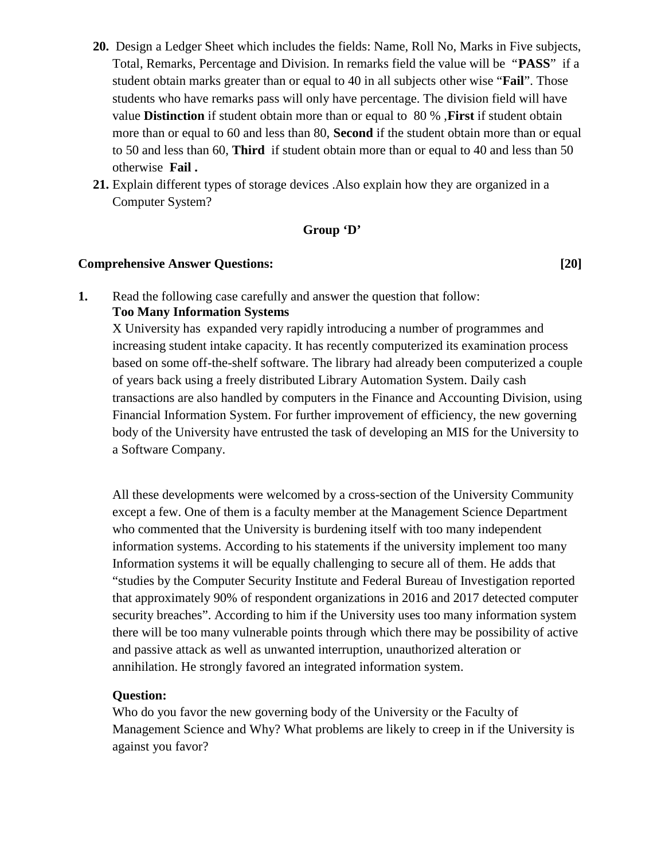- **20.** Design a Ledger Sheet which includes the fields: Name, Roll No, Marks in Five subjects, Total, Remarks, Percentage and Division. In remarks field the value will be "**PASS**" if a student obtain marks greater than or equal to 40 in all subjects other wise "**Fail**". Those students who have remarks pass will only have percentage. The division field will have value **Distinction** if student obtain more than or equal to 80 % ,**First** if student obtain more than or equal to 60 and less than 80, **Second** if the student obtain more than or equal to 50 and less than 60, **Third** if student obtain more than or equal to 40 and less than 50 otherwise **Fail .**
- **21.** Explain different types of storage devices .Also explain how they are organized in a Computer System?

## **Group 'D'**

#### **Comprehensive Answer Questions: [20]**

**1.** Read the following case carefully and answer the question that follow: **Too Many Information Systems**

X University has expanded very rapidly introducing a number of programmes and increasing student intake capacity. It has recently computerized its examination process based on some off-the-shelf software. The library had already been computerized a couple of years back using a freely distributed Library Automation System. Daily cash transactions are also handled by computers in the Finance and Accounting Division, using Financial Information System. For further improvement of efficiency, the new governing body of the University have entrusted the task of developing an MIS for the University to a Software Company.

All these developments were welcomed by a cross-section of the University Community except a few. One of them is a faculty member at the Management Science Department who commented that the University is burdening itself with too many independent information systems. According to his statements if the university implement too many Information systems it will be equally challenging to secure all of them. He adds that "studies by the Computer Security Institute and Federal Bureau of Investigation reported that approximately 90% of respondent organizations in 2016 and 2017 detected computer security breaches". According to him if the University uses too many information system there will be too many vulnerable points through which there may be possibility of active and passive attack as well as unwanted interruption, unauthorized alteration or annihilation. He strongly favored an integrated information system.

# **Question:**

Who do you favor the new governing body of the University or the Faculty of Management Science and Why? What problems are likely to creep in if the University is against you favor?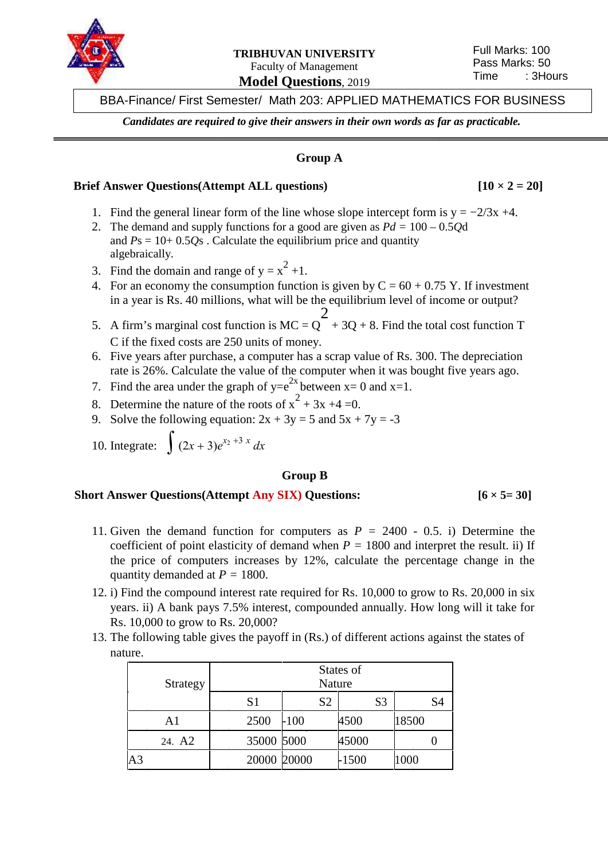

BBA-Finance/ First Semester/ Math 203: APPLIED MATHEMATICS FOR BUSINESS

## **Group A**

## **Brief Answer Questions(Attempt ALL questions) [10 × 2 = 20]**

- 1. Find the general linear form of the line whose slope intercept form is  $y = -2/3x +4$ .
- 2. The demand and supply functions for a good are given as  $Pd = 100 0.5Qd$ and  $Ps = 10 + 0.5Qs$ . Calculate the equilibrium price and quantity algebraically.
- 3. Find the domain and range of  $y = x^2 + 1$ .
- 4. For an economy the consumption function is given by  $C = 60 + 0.75$  Y. If investment in a year is Rs. 40 millions, what will be the equilibrium level of income or output? and range of  $y = x^2 + 1$ .<br>the consumption function is given by  $C = 60 + 0.75$  Y.<br>0 millions, what will be the equilibrium level of income
- 5. A firm's marginal cost function is  $MC = Q + 3Q + 8$ .  $2<sup>1</sup>$ marginal cost function is  $MC = Q + 3Q + 8$ . Find the total cost function T C if the fixed costs are 250 units of money.
- 6. Five years after purchase, a computer has a scrap value of Rs. 300. The depreciation rate is 26%. Calculate the value of the computer when it was bought five years ago. Five years after purchase, a computer has a scrap value rate is 26%. Calculate the value of the computer when if Find the area under the graph of  $y=e^{2x}$  between  $x=0$  and Determine the nature of the roots of  $x^2 + 3x + 4$
- 7. Find the area under the graph of  $y=e^{2x}$  between  $x=0$  and  $x=1$ .
- 8. Determine the nature of the roots of  $x^2 + 3x + 4 = 0$ .
- 9. Solve the following equation:  $2x + 3y = 5$  and  $5x + 7y = -3$
- 10. Integrate:  $\int (2x+3)e^{x^2+3x} dx$

#### **Group B**

#### **Short Answer Questions(Attempt Any SIX) Questions:**

- 11. Given the demand function for computers as  $P = 2400 0.5$ . i) Determine the coefficient of point elasticity of demand when  $P = 1800$  and interpret the result. ii) If<br>the price of computers increases by 12%, calculate the percentage change in the<br>quantity demanded at  $P = 1800$ .<br>i) Find the compoun the price of computers increases by 12%, calculate the percentage change in the quantity demanded at  $P = 1800$ .
- 12. i) Find the compound interest rate required for Rs. 10,000 to grow to Rs. 20,000 in six years. ii) A bank pays 7.5% interest, compounded annually. How long will it take for Rs. 10,000 to grow to Rs. 20,000?
- 13. The following table gives the payoff in (Rs.) of different actions against the states of nature.

|                                                                                                                                                                                                                                                                                                                                                                                                                                                                                                                                                                                                                                                                                                                                                                                                                                                                                                                                                                                            |             |                |                |                  | -Finance/        First Semester/        Math 203: APPLIED MATHEMATICS FOR BUSIN                                                                                                                                                                         |  |  |  |
|--------------------------------------------------------------------------------------------------------------------------------------------------------------------------------------------------------------------------------------------------------------------------------------------------------------------------------------------------------------------------------------------------------------------------------------------------------------------------------------------------------------------------------------------------------------------------------------------------------------------------------------------------------------------------------------------------------------------------------------------------------------------------------------------------------------------------------------------------------------------------------------------------------------------------------------------------------------------------------------------|-------------|----------------|----------------|------------------|---------------------------------------------------------------------------------------------------------------------------------------------------------------------------------------------------------------------------------------------------------|--|--|--|
| Candidates are required to give their answers in their own words as far as practicable.                                                                                                                                                                                                                                                                                                                                                                                                                                                                                                                                                                                                                                                                                                                                                                                                                                                                                                    |             |                |                |                  |                                                                                                                                                                                                                                                         |  |  |  |
| <b>Group A</b>                                                                                                                                                                                                                                                                                                                                                                                                                                                                                                                                                                                                                                                                                                                                                                                                                                                                                                                                                                             |             |                |                |                  |                                                                                                                                                                                                                                                         |  |  |  |
| wer Questions(Attempt ALL questions)                                                                                                                                                                                                                                                                                                                                                                                                                                                                                                                                                                                                                                                                                                                                                                                                                                                                                                                                                       |             |                |                |                  | $[10 \times 2 = 20]$                                                                                                                                                                                                                                    |  |  |  |
| d the general linear form of the line whose slope intercept form is $y = -2/3x + 4$ .<br>e demand and supply functions for a good are given as $Pd = 100 - 0.5Qd$<br>$IPs = 10 + 0.5Qs$ . Calculate the equilibrium price and quantity<br>ebraically.<br>d the domain and range of $y = x^2 + 1$ .<br>an economy the consumption function is given by $C = 60 + 0.75$ Y. If investment<br>a year is Rs. 40 millions, what will be the equilibrium level of income or output?<br>"irm's marginal cost function is MC = $Q^2$ + 3Q + 8. Find the total cost function T<br>f the fixed costs are 250 units of money.<br>e years after purchase, a computer has a scrap value of Rs. 300. The depreciation<br>e is 26%. Calculate the value of the computer when it was bought five years ago.<br>d the area under the graph of $y=e^{2x}$ between $x=0$ and $x=1$ .<br>termine the nature of the roots of $x^2 + 3x + 4 = 0$ .<br>ve the following equation: $2x + 3y = 5$ and $5x + 7y = -3$ |             |                |                |                  |                                                                                                                                                                                                                                                         |  |  |  |
| egrate: $\int (2x+3)e^{x_2+3x} dx$                                                                                                                                                                                                                                                                                                                                                                                                                                                                                                                                                                                                                                                                                                                                                                                                                                                                                                                                                         |             |                |                |                  |                                                                                                                                                                                                                                                         |  |  |  |
|                                                                                                                                                                                                                                                                                                                                                                                                                                                                                                                                                                                                                                                                                                                                                                                                                                                                                                                                                                                            |             | <b>Group B</b> |                |                  |                                                                                                                                                                                                                                                         |  |  |  |
| wer Questions (Attempt Any SIX) Questions:                                                                                                                                                                                                                                                                                                                                                                                                                                                                                                                                                                                                                                                                                                                                                                                                                                                                                                                                                 |             |                |                |                  | $[6 \times 5 = 30]$                                                                                                                                                                                                                                     |  |  |  |
| untity demanded at $P = 1800$ .<br>Find the compound interest rate required for Rs. 10,000 to grow to Rs. 20,000 in six<br>ars. ii) A bank pays 7.5% interest, compounded annually. How long will it take for<br>10,000 to grow to Rs. 20,000?<br>e following table gives the payoff in (Rs.) of different actions against the states of                                                                                                                                                                                                                                                                                                                                                                                                                                                                                                                                                                                                                                                   |             |                |                |                  | ven the demand function for computers as $P = 2400 - 0.5$ . i) Determine the<br>efficient of point elasticity of demand when $P = 1800$ and interpret the result. ii) If<br>price of computers increases by 12%, calculate the percentage change in the |  |  |  |
| ure.                                                                                                                                                                                                                                                                                                                                                                                                                                                                                                                                                                                                                                                                                                                                                                                                                                                                                                                                                                                       |             |                | States of      |                  |                                                                                                                                                                                                                                                         |  |  |  |
| Strategy                                                                                                                                                                                                                                                                                                                                                                                                                                                                                                                                                                                                                                                                                                                                                                                                                                                                                                                                                                                   |             |                |                |                  |                                                                                                                                                                                                                                                         |  |  |  |
|                                                                                                                                                                                                                                                                                                                                                                                                                                                                                                                                                                                                                                                                                                                                                                                                                                                                                                                                                                                            | S1          | S <sub>2</sub> | S <sub>3</sub> | S4               |                                                                                                                                                                                                                                                         |  |  |  |
| A <sub>1</sub>                                                                                                                                                                                                                                                                                                                                                                                                                                                                                                                                                                                                                                                                                                                                                                                                                                                                                                                                                                             | 2500        | $-100$         | 4500           | 18500            |                                                                                                                                                                                                                                                         |  |  |  |
| 24. A2                                                                                                                                                                                                                                                                                                                                                                                                                                                                                                                                                                                                                                                                                                                                                                                                                                                                                                                                                                                     | 35000 5000  |                | 45000          | $\boldsymbol{0}$ |                                                                                                                                                                                                                                                         |  |  |  |
| A3                                                                                                                                                                                                                                                                                                                                                                                                                                                                                                                                                                                                                                                                                                                                                                                                                                                                                                                                                                                         | 20000 20000 |                | $-1500$        | 1000             |                                                                                                                                                                                                                                                         |  |  |  |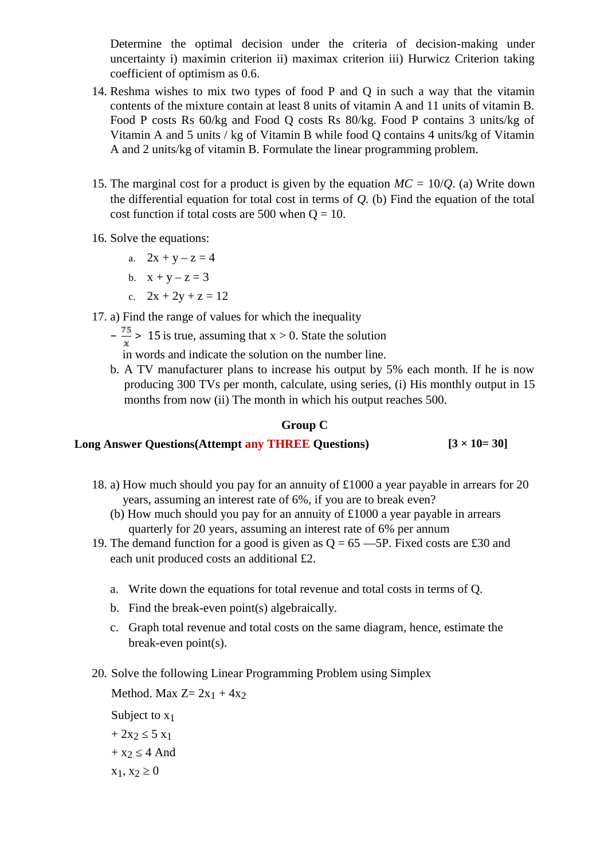Determine the optimal decision under the criteria of decision-making under uncertainty i) maximin criterion ii) maximax criterion iii) Hurwicz Criterion taking coefficient of optimism as 0.6.

- 14. Reshma wishes to mix two types of food P and Q in such a way that the vitamin contents of the mixture contain at least 8 units of vitamin A and 11 units of vitamin B. Food P costs Rs 60/kg and Food Q costs Rs 80/kg. Food P contains 3 units/kg of Vitamin A and 5 units / kg of Vitamin B while food Q contains 4 units/kg of Vitamin A and 2 units/kg of vitamin B. Formulate the linear programming problem.
- 15. The marginal cost for a product is given by the equation *MC =* 10/*Q*. (a) Write down the differential equation for total cost in terms of *Q.* (b) Find the equation of the total cost function if total costs are 500 when  $Q = 10$ .
- 16. Solve the equations:
	- a.  $2x + y z = 4$
	- b.  $x + y z = 3$
	- c.  $2x + 2y + z = 12$
- 17. a) Find the range of values for which the inequality
	- $-\frac{75}{x}$  > 15 is true, assuming that x > 0. State the solution

in words and indicate the solution on the number line.

b. A TV manufacturer plans to increase his output by 5% each month. If he is now producing 300 TVs per month, calculate, using series, (i) His monthly output in 15 months from now (ii) The month in which his output reaches 500.

## **Group C**

# **Long Answer Questions(Attempt any THREE Questions) [3 × 10= 30]**

- 18. a) How much should you pay for an annuity of £1000 a year payable in arrears for 20 years, assuming an interest rate of 6%, if you are to break even?
	- (b) How much should you pay for an annuity of £1000 a year payable in arrears quarterly for 20 years, assuming an interest rate of 6% per annum
- 19. The demand function for a good is given as  $Q = 65$  —5P. Fixed costs are £30 and each unit produced costs an additional £2.
	- a. Write down the equations for total revenue and total costs in terms of Q.
	- b. Find the break-even point(s) algebraically.
	- c. Graph total revenue and total costs on the same diagram, hence, estimate the break-even point(s).
- 20. Solve the following Linear Programming Problem using Simplex

Method. Max  $Z=2x_1 + 4x_2$ Subject to  $x_1$  $+ 2x_2$  5 x<sub>1</sub>  $+ x<sub>2</sub> 4 And$  $x_1, x_2 \quad 0$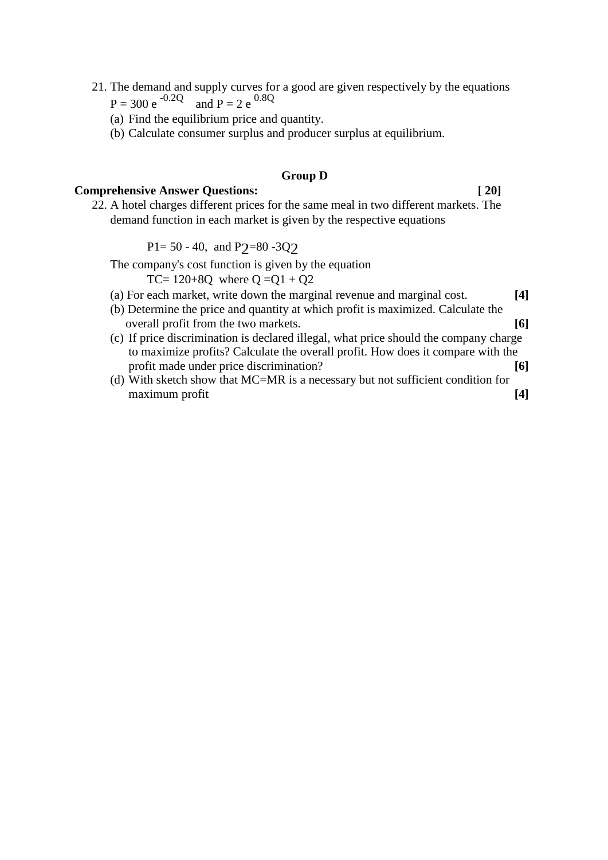21. The demand and supply curves for a good are given respectively by the equations  $P = 300 e^{-0.2Q}$  and  $P = 2 e^{-0.8Q}$ 

- (a) Find the equilibrium price and quantity.
- (b) Calculate consumer surplus and producer surplus at equilibrium.

#### **Group D**

#### **Comprehensive Answer Questions: [ 20]**

22. A hotel charges different prices for the same meal in two different markets. The demand function in each market is given by the respective equations

P1= 50 - 40, and P2=80 -3Q2

The company's cost function is given by the equation

TC=  $120+8Q$  where  $Q = Q1 + Q2$ 

- (a) For each market, write down the marginal revenue and marginal cost. **[4]**
- (b) Determine the price and quantity at which profit is maximized. Calculate the overall profit from the two markets. **[6]**
- (c) If price discrimination is declared illegal, what price should the company charge to maximize profits? Calculate the overall profit. How does it compare with the profit made under price discrimination? **[6]**
- (d) With sketch show that MC=MR is a necessary but not sufficient condition for maximum profit **[4]**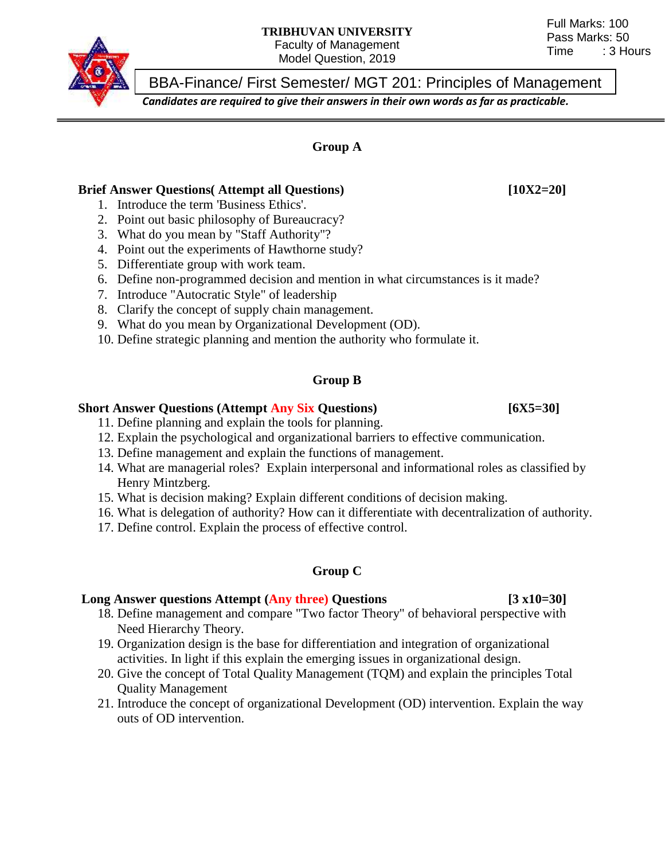**TRIBHUVAN UNIVERSITY** Faculty of Management Model Question, 2019

Full Marks: 100 Pass Marks: 50 Time : 3 Hours

BBA-Finance/ First Semester/ MGT 201: Principles of Management

*Candidates are required to give their answers in their own words as far as practicable.*

**Group A**

# **Brief Answer Questions( Attempt all Questions) [10X2=20]**

- 1. Introduce the term 'Business Ethics'.
- 2. Point out basic philosophy of Bureaucracy?
- 3. What do you mean by "Staff Authority"?
- 4. Point out the experiments of Hawthorne study?
- 5. Differentiate group with work team.
- 6. Define non-programmed decision and mention in what circumstances is it made?
- 7. Introduce "Autocratic Style" of leadership
- 8. Clarify the concept of supply chain management.
- 9. What do you mean by Organizational Development (OD).
- 10. Define strategic planning and mention the authority who formulate it.

# **Group B**

# **Short Answer Questions (Attempt Any Six Questions) [6X5=30]**

- 11. Define planning and explain the tools for planning.
- 12. Explain the psychological and organizational barriers to effective communication.
- 13. Define management and explain the functions of management.
- 14. What are managerial roles? Explain interpersonal and informational roles as classified by Henry Mintzberg.
- 15. What is decision making? Explain different conditions of decision making.
- 16. What is delegation of authority? How can it differentiate with decentralization of authority.
- 17. Define control. Explain the process of effective control.

# **Group C**

# **Long Answer questions Attempt (Any three) Questions [3 x10=30]**

- 18. Define management and compare "Two factor Theory" of behavioral perspective with Need Hierarchy Theory.
- 19. Organization design is the base for differentiation and integration of organizational activities. In light if this explain the emerging issues in organizational design.
- 20. Give the concept of Total Quality Management (TQM) and explain the principles Total Quality Management
- 21. Introduce the concept of organizational Development (OD) intervention. Explain the way outs of OD intervention.